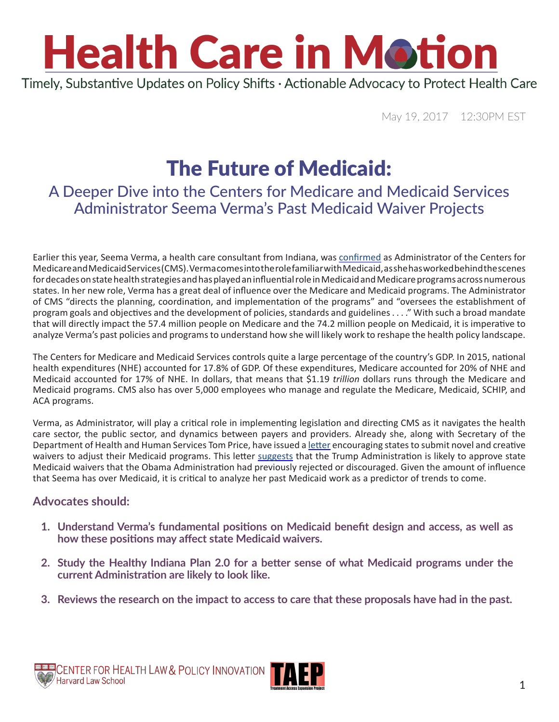### **Health Care in Motion** Timely, Substantive Updates on Policy Shifts · Actionable Advocacy to Protect Health Care

May 19, 2017 12:30PM EST

### The Future of Medicaid:

#### A Deeper Dive into the Centers for Medicare and Medicaid Services Administrator Seema Verma's Past Medicaid Waiver Projects

Earlier this year, Seema Verma, a health care consultant from Indiana, was [confirmed](https://www.nytimes.com/2017/03/13/us/politics/seema-verma-medicaid-medicare-administrator.html?_r=0) as Administrator of the Centers for Medicare and Medicaid Services (CMS). Verma comes into the role familiar with Medicaid, as she has worked behind the scenes for decades on state health strategies and has played an influential role in Medicaid and Medicare programs across numerous states. In her new role, Verma has a great deal of influence over the Medicare and Medicaid programs. The Administrator of CMS "directs the planning, coordination, and implementation of the programs" and "oversees the establishment of program goals and objectives and the development of policies, standards and guidelines . . . ." With such a broad mandate that will directly impact the 57.4 million people on Medicare and the 74.2 million people on Medicaid, it is imperative to analyze Verma's past policies and programs to understand how she will likely work to reshape the health policy landscape.

The Centers for Medicare and Medicaid Services controls quite a large percentage of the country's GDP. In 2015, national health expenditures (NHE) accounted for 17.8% of GDP. Of these expenditures, Medicare accounted for 20% of NHE and Medicaid accounted for 17% of NHE. In dollars, that means that \$1.19 *trillion* dollars runs through the Medicare and Medicaid programs. CMS also has over 5,000 employees who manage and regulate the Medicare, Medicaid, SCHIP, and ACA programs.

Verma, as Administrator, will play a critical role in implementing legislation and directing CMS as it navigates the health care sector, the public sector, and dynamics between payers and providers. Already she, along with Secretary of the Department of Health and Human Services Tom Price, have issued a [letter](https://www.hhs.gov/sites/default/files/sec-price-admin-verma-ltr.pdf) encouraging states to submit novel and creative waivers to adjust their Medicaid programs. This letter [suggests](http://healthaffairs.org/blog/2017/03/20/the-unfolding-medicaid-story-congress-governors-and-the-trump-administration/) that the Trump Administration is likely to approve state Medicaid waivers that the Obama Administration had previously rejected or discouraged. Given the amount of influence that Seema has over Medicaid, it is critical to analyze her past Medicaid work as a predictor of trends to come.

#### **Advocates should:**

- **1. Understand Verma's fundamental positions on Medicaid benefit design and access, as well as how these positions may affect state Medicaid waivers.**
- **2. Study the Healthy Indiana Plan 2.0 for a better sense of what Medicaid programs under the current Administration are likely to look like.**
- **3. Reviews the research on the impact to access to care that these proposals have had in the past.**

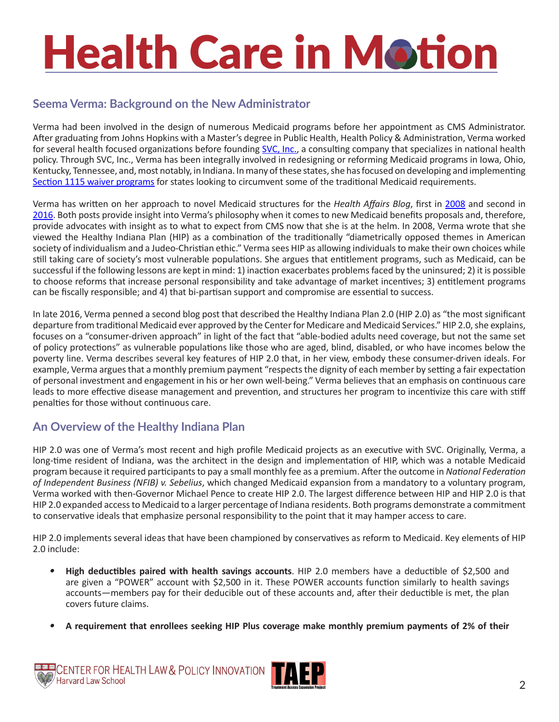#### **Seema Verma: Background on the New Administrator**

Verma had been involved in the design of numerous Medicaid programs before her appointment as CMS Administrator. After graduating from Johns Hopkins with a Master's degree in Public Health, Health Policy & Administration, Verma worked for several health focused organizations before founding [SVC, Inc.](http://www.svcinc.org/our-expertise/medicaid.html), a consulting company that specializes in national health policy. Through SVC, Inc., Verma has been integrally involved in redesigning or reforming Medicaid programs in Iowa, Ohio, Kentucky, Tennessee, and, most notably, in Indiana. In many of these states, she has focused on developing and implementing [Section 1115 waiver programs](https://kaiserfamilyfoundation.files.wordpress.com/2013/01/8196.pdf) for states looking to circumvent some of the traditional Medicaid requirements.

Verma has written on her approach to novel Medicaid structures for the *Health Affairs Blog*, first in [2008](http://healthaffairs.org/blog/2008/05/01/indiana-health-care-reform-amidst-colliding-values/) and second in [2016](http://healthaffairs.org/blog/2016/08/29/healthy-indiana-2-0-is-challenging-medicaid-norms/). Both posts provide insight into Verma's philosophy when it comes to new Medicaid benefits proposals and, therefore, provide advocates with insight as to what to expect from CMS now that she is at the helm. In 2008, Verma wrote that she viewed the Healthy Indiana Plan (HIP) as a combination of the traditionally "diametrically opposed themes in American society of individualism and a Judeo-Christian ethic." Verma sees HIP as allowing individuals to make their own choices while still taking care of society's most vulnerable populations. She argues that entitlement programs, such as Medicaid, can be successful if the following lessons are kept in mind: 1) inaction exacerbates problems faced by the uninsured; 2) it is possible to choose reforms that increase personal responsibility and take advantage of market incentives; 3) entitlement programs can be fiscally responsible; and 4) that bi-partisan support and compromise are essential to success.

In late 2016, Verma penned a second blog post that described the Healthy Indiana Plan 2.0 (HIP 2.0) as "the most significant departure from traditional Medicaid ever approved by the Center for Medicare and Medicaid Services." HIP 2.0, she explains, focuses on a "consumer-driven approach" in light of the fact that "able-bodied adults need coverage, but not the same set of policy protections" as vulnerable populations like those who are aged, blind, disabled, or who have incomes below the poverty line. Verma describes several key features of HIP 2.0 that, in her view, embody these consumer-driven ideals. For example, Verma argues that a monthly premium payment "respects the dignity of each member by setting a fair expectation of personal investment and engagement in his or her own well-being." Verma believes that an emphasis on continuous care leads to more effective disease management and prevention, and structures her program to incentivize this care with stiff penalties for those without continuous care.

#### **An Overview of the Healthy Indiana Plan**

HIP 2.0 was one of Verma's most recent and high profile Medicaid projects as an executive with SVC. Originally, Verma, a long-time resident of Indiana, was the architect in the design and implementation of HIP, which was a notable Medicaid program because it required participants to pay a small monthly fee as a premium. After the outcome in *National Federation of Independent Business (NFIB) v. Sebelius*, which changed Medicaid expansion from a mandatory to a voluntary program, Verma worked with then-Governor Michael Pence to create HIP 2.0. The largest difference between HIP and HIP 2.0 is that HIP 2.0 expanded access to Medicaid to a larger percentage of Indiana residents. Both programs demonstrate a commitment to conservative ideals that emphasize personal responsibility to the point that it may hamper access to care.

HIP 2.0 implements several ideas that have been championed by conservatives as reform to Medicaid. Key elements of HIP 2.0 include:

- *•* **High deductibles paired with health savings accounts**. HIP 2.0 members have a deductible of \$2,500 and are given a "POWER" account with \$2,500 in it. These POWER accounts function similarly to health savings accounts—members pay for their deducible out of these accounts and, after their deductible is met, the plan covers future claims.
- *•* **A requirement that enrollees seeking HIP Plus coverage make monthly premium payments of 2% of their**

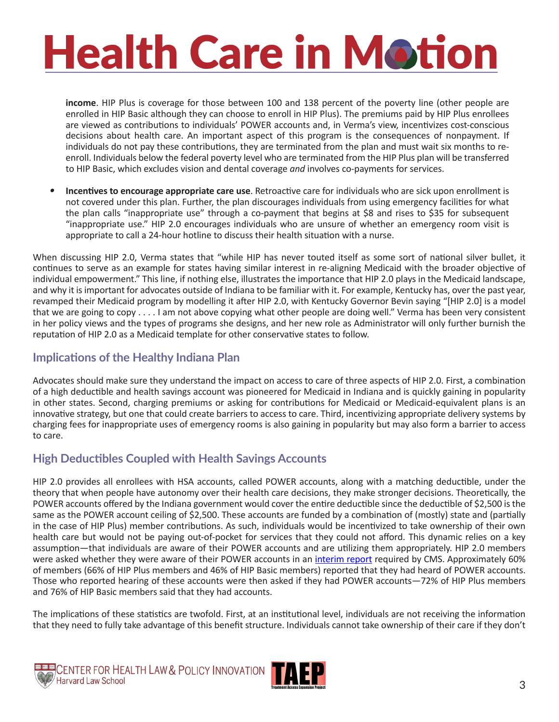**income**. HIP Plus is coverage for those between 100 and 138 percent of the poverty line (other people are enrolled in HIP Basic although they can choose to enroll in HIP Plus). The premiums paid by HIP Plus enrollees are viewed as contributions to individuals' POWER accounts and, in Verma's view, incentivizes cost-conscious decisions about health care. An important aspect of this program is the consequences of nonpayment. If individuals do not pay these contributions, they are terminated from the plan and must wait six months to reenroll. Individuals below the federal poverty level who are terminated from the HIP Plus plan will be transferred to HIP Basic, which excludes vision and dental coverage *and* involves co-payments for services.

*•* **Incentives to encourage appropriate care use**. Retroactive care for individuals who are sick upon enrollment is not covered under this plan. Further, the plan discourages individuals from using emergency facilities for what the plan calls "inappropriate use" through a co-payment that begins at \$8 and rises to \$35 for subsequent "inappropriate use." HIP 2.0 encourages individuals who are unsure of whether an emergency room visit is appropriate to call a 24-hour hotline to discuss their health situation with a nurse.

When discussing HIP 2.0, Verma states that "while HIP has never touted itself as some sort of national silver bullet, it continues to serve as an example for states having similar interest in re-aligning Medicaid with the broader objective of individual empowerment." This line, if nothing else, illustrates the importance that HIP 2.0 plays in the Medicaid landscape, and why it is important for advocates outside of Indiana to be familiar with it. For example, Kentucky has, over the past year, revamped their Medicaid program by modelling it after HIP 2.0, with Kentucky Governor Bevin saying "[HIP 2.0] is a model that we are going to copy . . . . I am not above copying what other people are doing well." Verma has been very consistent in her policy views and the types of programs she designs, and her new role as Administrator will only further burnish the reputation of HIP 2.0 as a Medicaid template for other conservative states to follow.

#### **Implications of the Healthy Indiana Plan**

Advocates should make sure they understand the impact on access to care of three aspects of HIP 2.0. First, a combination of a high deductible and health savings account was pioneered for Medicaid in Indiana and is quickly gaining in popularity in other states. Second, charging premiums or asking for contributions for Medicaid or Medicaid-equivalent plans is an innovative strategy, but one that could create barriers to access to care. Third, incentivizing appropriate delivery systems by charging fees for inappropriate uses of emergency rooms is also gaining in popularity but may also form a barrier to access to care.

#### **High Deductibles Coupled with Health Savings Accounts**

HIP 2.0 provides all enrollees with HSA accounts, called POWER accounts, along with a matching deductible, under the theory that when people have autonomy over their health care decisions, they make stronger decisions. Theoretically, the POWER accounts offered by the Indiana government would cover the entire deductible since the deductible of \$2,500 is the same as the POWER account ceiling of \$2,500. These accounts are funded by a combination of (mostly) state and (partially in the case of HIP Plus) member contributions. As such, individuals would be incentivized to take ownership of their own health care but would not be paying out-of-pocket for services that they could not afford. This dynamic relies on a key assumption—that individuals are aware of their POWER accounts and are utilizing them appropriately. HIP 2.0 members were asked whether they were aware of their POWER accounts in an [interim report](https://www.medicaid.gov/medicaid-chip-program-information/by-topics/waivers/1115/downloads/in/healthy-indiana-plan-2/in-healthy-indiana-plan-support-20-interim-evl-rpt-07062016.pdf) required by CMS. Approximately 60% of members (66% of HIP Plus members and 46% of HIP Basic members) reported that they had heard of POWER accounts. Those who reported hearing of these accounts were then asked if they had POWER accounts—72% of HIP Plus members and 76% of HIP Basic members said that they had accounts.

The implications of these statistics are twofold. First, at an institutional level, individuals are not receiving the information that they need to fully take advantage of this benefit structure. Individuals cannot take ownership of their care if they don't



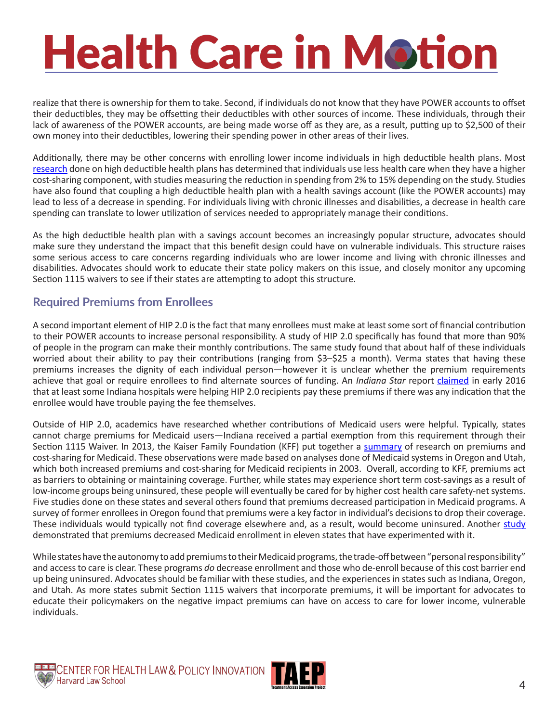realize that there is ownership for them to take. Second, if individuals do not know that they have POWER accounts to offset their deductibles, they may be offsetting their deductibles with other sources of income. These individuals, through their lack of awareness of the POWER accounts, are being made worse off as they are, as a result, putting up to \$2,500 of their own money into their deductibles, lowering their spending power in other areas of their lives.

Additionally, there may be other concerns with enrolling lower income individuals in high deductible health plans. Most [research](http://www.rand.org/pubs/technical_reports/TR562z4/analysis-of-high-deductible-health-plans.html) done on high deductible health plans has determined that individuals use less health care when they have a higher cost-sharing component, with studies measuring the reduction in spending from 2% to 15% depending on the study. Studies have also found that coupling a high deductible health plan with a health savings account (like the POWER accounts) may lead to less of a decrease in spending. For individuals living with chronic illnesses and disabilities, a decrease in health care spending can translate to lower utilization of services needed to appropriately manage their conditions.

As the high deductible health plan with a savings account becomes an increasingly popular structure, advocates should make sure they understand the impact that this benefit design could have on vulnerable individuals. This structure raises some serious access to care concerns regarding individuals who are lower income and living with chronic illnesses and disabilities. Advocates should work to educate their state policy makers on this issue, and closely monitor any upcoming Section 1115 waivers to see if their states are attempting to adopt this structure.

#### **Required Premiums from Enrollees**

A second important element of HIP 2.0 is the fact that many enrollees must make at least some sort of financial contribution to their POWER accounts to increase personal responsibility. A study of HIP 2.0 specifically has found that more than 90% of people in the program can make their monthly contributions. The same study found that about half of these individuals worried about their ability to pay their contributions (ranging from \$3–\$25 a month). Verma states that having these premiums increases the dignity of each individual person—however it is unclear whether the premium requirements achieve that goal or require enrollees to find alternate sources of funding. An *Indiana Star* report *[claimed](http://www.indystar.com/story/news/2016/02/01/indiana-tests-charging-medicaid-patients-monthly-contribution/79520120)* in early 2016 that at least some Indiana hospitals were helping HIP 2.0 recipients pay these premiums if there was any indication that the enrollee would have trouble paying the fee themselves.

Outside of HIP 2.0, academics have researched whether contributions of Medicaid users were helpful. Typically, states cannot charge premiums for Medicaid users—Indiana received a partial exemption from this requirement through their Section 1115 Waiver. In 2013, the Kaiser Family Foundation (KFF) put together a [summary](https://kaiserfamilyfoundation.files.wordpress.com/2013/02/8417-premiums-and-cost-sharing-in-medicaid.pdf) of research on premiums and cost-sharing for Medicaid. These observations were made based on analyses done of Medicaid systems in Oregon and Utah, which both increased premiums and cost-sharing for Medicaid recipients in 2003. Overall, according to KFF, premiums act as barriers to obtaining or maintaining coverage. Further, while states may experience short term cost-savings as a result of low-income groups being uninsured, these people will eventually be cared for by higher cost health care safety-net systems. Five studies done on these states and several others found that premiums decreased participation in Medicaid programs. A survey of former enrollees in Oregon found that premiums were a key factor in individual's decisions to drop their coverage. These individuals would typically not find coverage elsewhere and, as a result, would become uninsured. Another [study](http://www.dupontfund.org/wp-content/uploads/2015/12/brief2-proposed-premiums-for-children-and-families.pdf) demonstrated that premiums decreased Medicaid enrollment in eleven states that have experimented with it.

While states have the autonomy to add premiums to their Medicaid programs, the trade-off between "personal responsibility" and access to care is clear. These programs *do* decrease enrollment and those who de-enroll because of this cost barrier end up being uninsured. Advocates should be familiar with these studies, and the experiences in states such as Indiana, Oregon, and Utah. As more states submit Section 1115 waivers that incorporate premiums, it will be important for advocates to educate their policymakers on the negative impact premiums can have on access to care for lower income, vulnerable individuals.